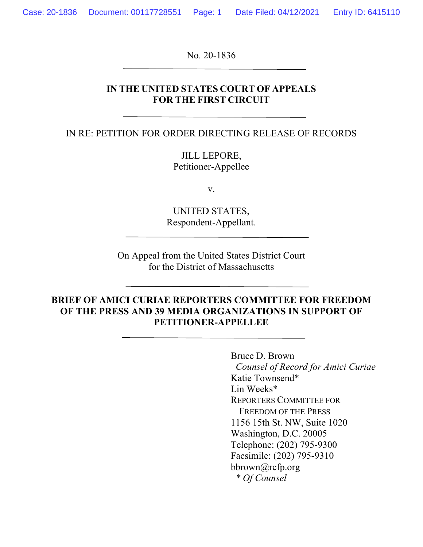No. 20-1836

#### **IN THE UNITED STATES COURT OF APPEALS FOR THE FIRST CIRCUIT**

IN RE: PETITION FOR ORDER DIRECTING RELEASE OF RECORDS

JILL LEPORE, Petitioner-Appellee

v.

UNITED STATES, Respondent-Appellant.

On Appeal from the United States District Court for the District of Massachusetts

#### **BRIEF OF AMICI CURIAE REPORTERS COMMITTEE FOR FREEDOM OF THE PRESS AND 39 MEDIA ORGANIZATIONS IN SUPPORT OF PETITIONER-APPELLEE**

Bruce D. Brown  *Counsel of Record for Amici Curiae* Katie Townsend\* Lin Weeks\* REPORTERS COMMITTEE FOR FREEDOM OF THE PRESS 1156 15th St. NW, Suite 1020 Washington, D.C. 20005 Telephone: (202) 795-9300 Facsimile: (202) 795-9310 bbrown@rcfp.org  *\* Of Counsel*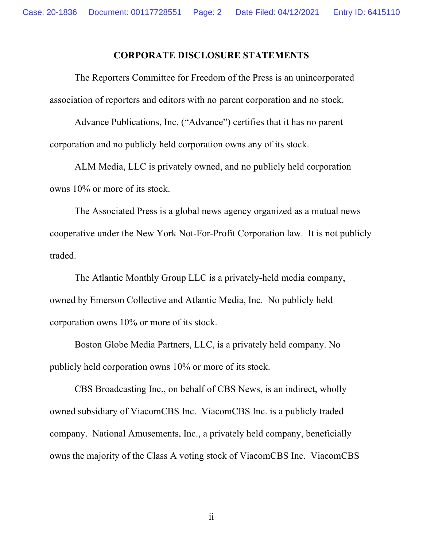#### **CORPORATE DISCLOSURE STATEMENTS**

The Reporters Committee for Freedom of the Press is an unincorporated association of reporters and editors with no parent corporation and no stock.

Advance Publications, Inc. ("Advance") certifies that it has no parent corporation and no publicly held corporation owns any of its stock.

ALM Media, LLC is privately owned, and no publicly held corporation owns 10% or more of its stock.

The Associated Press is a global news agency organized as a mutual news cooperative under the New York Not-For-Profit Corporation law. It is not publicly traded.

The Atlantic Monthly Group LLC is a privately-held media company, owned by Emerson Collective and Atlantic Media, Inc. No publicly held corporation owns 10% or more of its stock.

Boston Globe Media Partners, LLC, is a privately held company. No publicly held corporation owns 10% or more of its stock.

CBS Broadcasting Inc., on behalf of CBS News, is an indirect, wholly owned subsidiary of ViacomCBS Inc. ViacomCBS Inc. is a publicly traded company. National Amusements, Inc., a privately held company, beneficially owns the majority of the Class A voting stock of ViacomCBS Inc. ViacomCBS

ii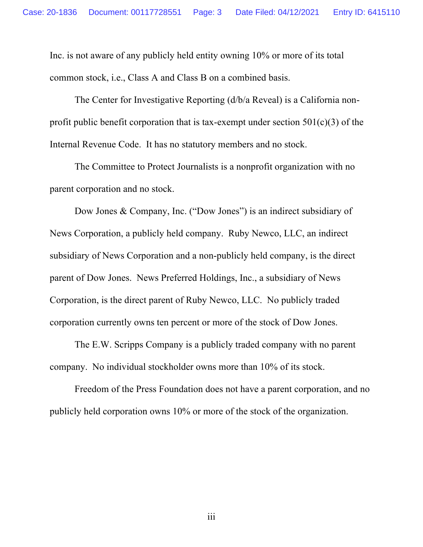Inc. is not aware of any publicly held entity owning 10% or more of its total common stock, i.e., Class A and Class B on a combined basis.

The Center for Investigative Reporting (d/b/a Reveal) is a California nonprofit public benefit corporation that is tax-exempt under section  $501(c)(3)$  of the Internal Revenue Code. It has no statutory members and no stock.

The Committee to Protect Journalists is a nonprofit organization with no parent corporation and no stock.

Dow Jones & Company, Inc. ("Dow Jones") is an indirect subsidiary of News Corporation, a publicly held company. Ruby Newco, LLC, an indirect subsidiary of News Corporation and a non-publicly held company, is the direct parent of Dow Jones. News Preferred Holdings, Inc., a subsidiary of News Corporation, is the direct parent of Ruby Newco, LLC. No publicly traded corporation currently owns ten percent or more of the stock of Dow Jones.

The E.W. Scripps Company is a publicly traded company with no parent company. No individual stockholder owns more than 10% of its stock.

Freedom of the Press Foundation does not have a parent corporation, and no publicly held corporation owns 10% or more of the stock of the organization.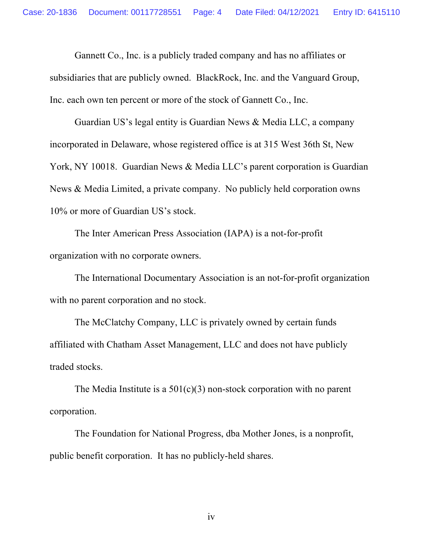Gannett Co., Inc. is a publicly traded company and has no affiliates or subsidiaries that are publicly owned. BlackRock, Inc. and the Vanguard Group, Inc. each own ten percent or more of the stock of Gannett Co., Inc.

Guardian US's legal entity is Guardian News & Media LLC, a company incorporated in Delaware, whose registered office is at 315 West 36th St, New York, NY 10018. Guardian News & Media LLC's parent corporation is Guardian News & Media Limited, a private company. No publicly held corporation owns 10% or more of Guardian US's stock.

The Inter American Press Association (IAPA) is a not-for-profit organization with no corporate owners.

The International Documentary Association is an not-for-profit organization with no parent corporation and no stock.

The McClatchy Company, LLC is privately owned by certain funds affiliated with Chatham Asset Management, LLC and does not have publicly traded stocks.

The Media Institute is a  $501(c)(3)$  non-stock corporation with no parent corporation.

The Foundation for National Progress, dba Mother Jones, is a nonprofit, public benefit corporation. It has no publicly-held shares.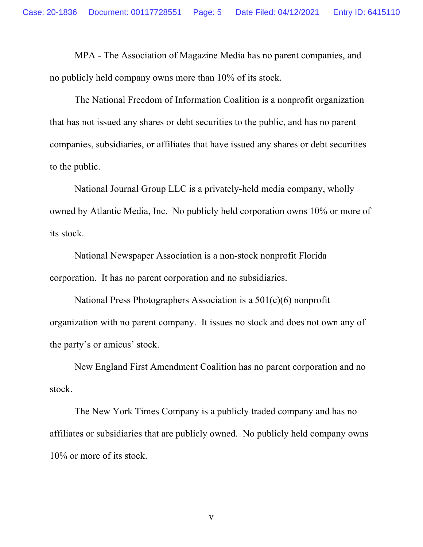MPA - The Association of Magazine Media has no parent companies, and no publicly held company owns more than 10% of its stock.

The National Freedom of Information Coalition is a nonprofit organization that has not issued any shares or debt securities to the public, and has no parent companies, subsidiaries, or affiliates that have issued any shares or debt securities to the public.

National Journal Group LLC is a privately-held media company, wholly owned by Atlantic Media, Inc. No publicly held corporation owns 10% or more of its stock.

National Newspaper Association is a non-stock nonprofit Florida corporation. It has no parent corporation and no subsidiaries.

National Press Photographers Association is a 501(c)(6) nonprofit organization with no parent company. It issues no stock and does not own any of the party's or amicus' stock.

New England First Amendment Coalition has no parent corporation and no stock.

The New York Times Company is a publicly traded company and has no affiliates or subsidiaries that are publicly owned. No publicly held company owns 10% or more of its stock.

v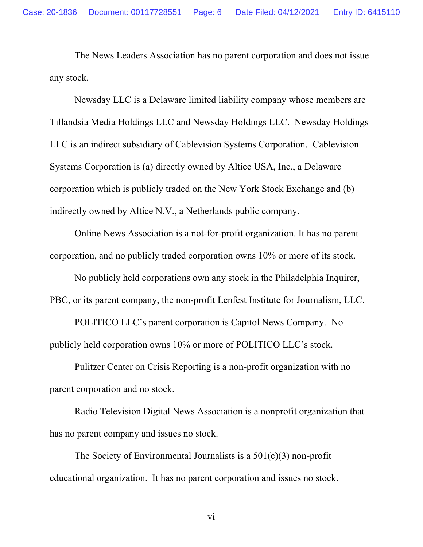The News Leaders Association has no parent corporation and does not issue any stock.

Newsday LLC is a Delaware limited liability company whose members are Tillandsia Media Holdings LLC and Newsday Holdings LLC. Newsday Holdings LLC is an indirect subsidiary of Cablevision Systems Corporation. Cablevision Systems Corporation is (a) directly owned by Altice USA, Inc., a Delaware corporation which is publicly traded on the New York Stock Exchange and (b) indirectly owned by Altice N.V., a Netherlands public company.

Online News Association is a not-for-profit organization. It has no parent corporation, and no publicly traded corporation owns 10% or more of its stock.

No publicly held corporations own any stock in the Philadelphia Inquirer, PBC, or its parent company, the non-profit Lenfest Institute for Journalism, LLC.

POLITICO LLC's parent corporation is Capitol News Company. No publicly held corporation owns 10% or more of POLITICO LLC's stock.

Pulitzer Center on Crisis Reporting is a non-profit organization with no parent corporation and no stock.

Radio Television Digital News Association is a nonprofit organization that has no parent company and issues no stock.

The Society of Environmental Journalists is a  $501(c)(3)$  non-profit educational organization. It has no parent corporation and issues no stock.

vi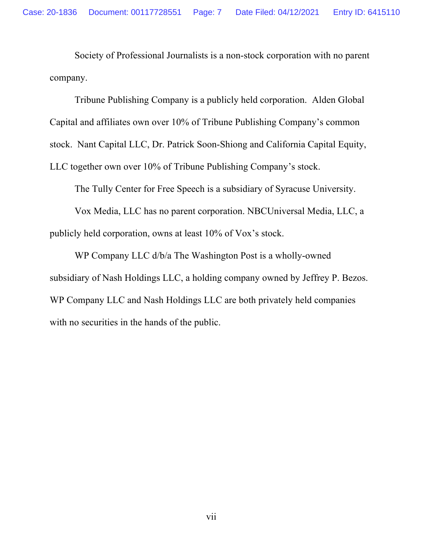Society of Professional Journalists is a non-stock corporation with no parent company.

Tribune Publishing Company is a publicly held corporation. Alden Global Capital and affiliates own over 10% of Tribune Publishing Company's common stock. Nant Capital LLC, Dr. Patrick Soon-Shiong and California Capital Equity, LLC together own over 10% of Tribune Publishing Company's stock.

The Tully Center for Free Speech is a subsidiary of Syracuse University.

Vox Media, LLC has no parent corporation. NBCUniversal Media, LLC, a publicly held corporation, owns at least 10% of Vox's stock.

WP Company LLC d/b/a The Washington Post is a wholly-owned subsidiary of Nash Holdings LLC, a holding company owned by Jeffrey P. Bezos. WP Company LLC and Nash Holdings LLC are both privately held companies with no securities in the hands of the public.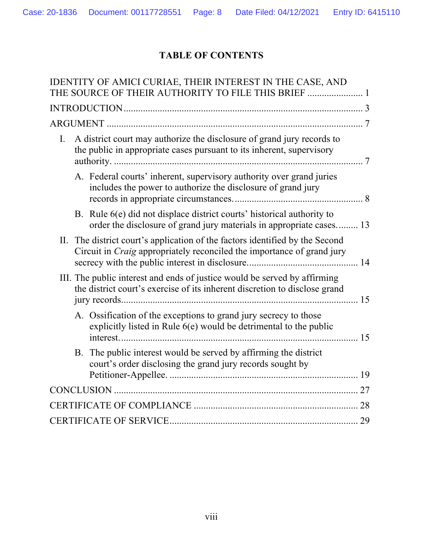# **TABLE OF CONTENTS**

| IDENTITY OF AMICI CURIAE, THEIR INTEREST IN THE CASE, AND                                                                                                     |
|---------------------------------------------------------------------------------------------------------------------------------------------------------------|
| THE SOURCE OF THEIR AUTHORITY TO FILE THIS BRIEF  1                                                                                                           |
|                                                                                                                                                               |
|                                                                                                                                                               |
| A district court may authorize the disclosure of grand jury records to<br>I.<br>the public in appropriate cases pursuant to its inherent, supervisory         |
| A. Federal courts' inherent, supervisory authority over grand juries<br>includes the power to authorize the disclosure of grand jury                          |
| B. Rule 6(e) did not displace district courts' historical authority to<br>order the disclosure of grand jury materials in appropriate cases 13                |
| II. The district court's application of the factors identified by the Second<br>Circuit in <i>Craig</i> appropriately reconciled the importance of grand jury |
| III. The public interest and ends of justice would be served by affirming<br>the district court's exercise of its inherent discretion to disclose grand       |
| A. Ossification of the exceptions to grand jury secrecy to those<br>explicitly listed in Rule $6(e)$ would be detrimental to the public                       |
| B. The public interest would be served by affirming the district<br>court's order disclosing the grand jury records sought by                                 |
|                                                                                                                                                               |
|                                                                                                                                                               |
|                                                                                                                                                               |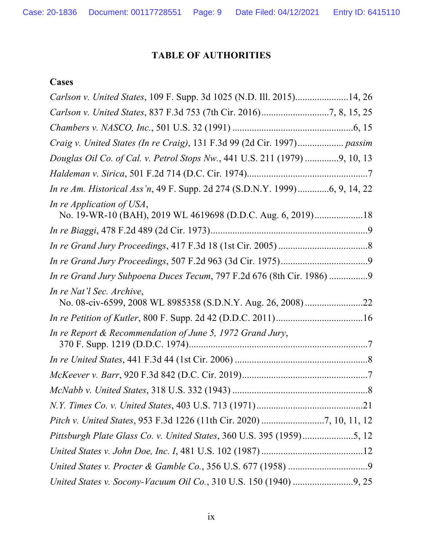## **TABLE OF AUTHORITIES**

## **Cases**

| Carlson v. United States, 109 F. Supp. 3d 1025 (N.D. Ill. 2015)14, 26                    |
|------------------------------------------------------------------------------------------|
|                                                                                          |
|                                                                                          |
|                                                                                          |
| Douglas Oil Co. of Cal. v. Petrol Stops Nw., 441 U.S. 211 (1979) 9, 10, 13               |
|                                                                                          |
| In re Am. Historical Ass'n, 49 F. Supp. 2d 274 (S.D.N.Y. 1999)6, 9, 14, 22               |
| In re Application of USA,<br>No. 19-WR-10 (BAH), 2019 WL 4619698 (D.D.C. Aug. 6, 2019)18 |
|                                                                                          |
|                                                                                          |
|                                                                                          |
| In re Grand Jury Subpoena Duces Tecum, 797 F.2d 676 (8th Cir. 1986)                      |
| In re Nat'l Sec. Archive,                                                                |
|                                                                                          |
| In re Report & Recommendation of June 5, 1972 Grand Jury,                                |
|                                                                                          |
|                                                                                          |
|                                                                                          |
|                                                                                          |
|                                                                                          |
|                                                                                          |
|                                                                                          |
|                                                                                          |
|                                                                                          |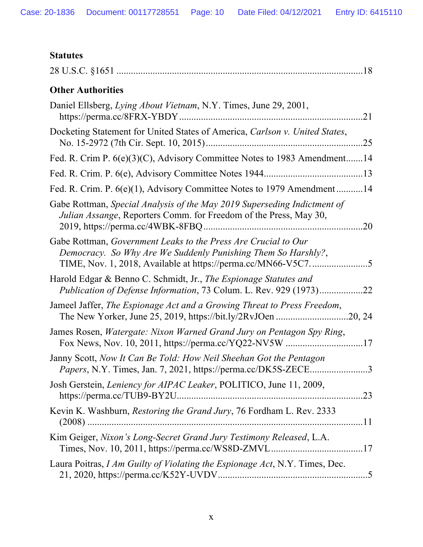# **Statutes**

| <b>Other Authorities</b>                                                                                                                      |
|-----------------------------------------------------------------------------------------------------------------------------------------------|
| Daniel Ellsberg, Lying About Vietnam, N.Y. Times, June 29, 2001,                                                                              |
| Docketing Statement for United States of America, Carlson v. United States,                                                                   |
| Fed. R. Crim P. 6(e)(3)(C), Advisory Committee Notes to 1983 Amendment14                                                                      |
|                                                                                                                                               |
| Fed. R. Crim. P. 6(e)(1), Advisory Committee Notes to 1979 Amendment  14                                                                      |
| Gabe Rottman, Special Analysis of the May 2019 Superseding Indictment of<br>Julian Assange, Reporters Comm. for Freedom of the Press, May 30, |
| Gabe Rottman, Government Leaks to the Press Are Crucial to Our<br>Democracy. So Why Are We Suddenly Punishing Them So Harshly?,               |
| Harold Edgar & Benno C. Schmidt, Jr., The Espionage Statutes and<br>Publication of Defense Information, 73 Colum. L. Rev. 929 (1973)22        |
| Jameel Jaffer, The Espionage Act and a Growing Threat to Press Freedom,                                                                       |
| James Rosen, Watergate: Nixon Warned Grand Jury on Pentagon Spy Ring,<br>Fox News, Nov. 10, 2011, https://perma.cc/YQ22-NV5W 17               |
| Janny Scott, Now It Can Be Told: How Neil Sheehan Got the Pentagon<br>Papers, N.Y. Times, Jan. 7, 2021, https://perma.cc/DK5S-ZECE3           |
| Josh Gerstein, Leniency for AIPAC Leaker, POLITICO, June 11, 2009,<br>https://perma.cc/TUB9-BY2U<br>.23                                       |
| Kevin K. Washburn, Restoring the Grand Jury, 76 Fordham L. Rev. 2333                                                                          |
| Kim Geiger, Nixon's Long-Secret Grand Jury Testimony Released, L.A.                                                                           |
| Laura Poitras, I Am Guilty of Violating the Espionage Act, N.Y. Times, Dec.                                                                   |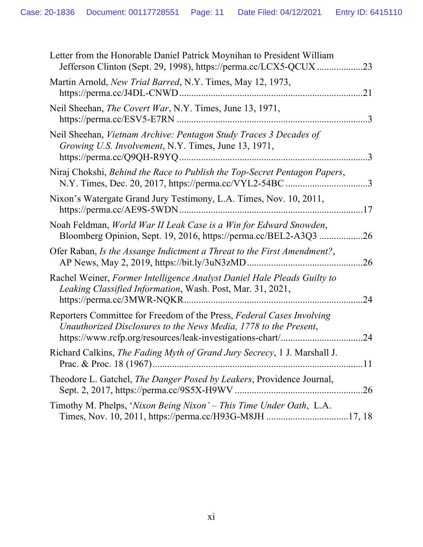| Letter from the Honorable Daniel Patrick Moynihan to President William                                                                    |           |
|-------------------------------------------------------------------------------------------------------------------------------------------|-----------|
| Martin Arnold, New Trial Barred, N.Y. Times, May 12, 1973,                                                                                | 21        |
| Neil Sheehan, <i>The Covert War</i> , N.Y. Times, June 13, 1971,                                                                          | $\cdot$ 3 |
| Neil Sheehan, Vietnam Archive: Pentagon Study Traces 3 Decades of<br>Growing U.S. Involvement, N.Y. Times, June 13, 1971,                 | $\cdot$ 3 |
| Niraj Chokshi, Behind the Race to Publish the Top-Secret Pentagon Papers,<br>N.Y. Times, Dec. 20, 2017, https://perma.cc/VYL2-54BC 3      |           |
| Nixon's Watergate Grand Jury Testimony, L.A. Times, Nov. 10, 2011,                                                                        |           |
| Noah Feldman, World War II Leak Case is a Win for Edward Snowden,<br>Bloomberg Opinion, Sept. 19, 2016, https://perma.cc/BEL2-A3Q3        | .26       |
| Ofer Raban, Is the Assange Indictment a Threat to the First Amendment?,                                                                   | .26       |
| Rachel Weiner, Former Intelligence Analyst Daniel Hale Pleads Guilty to<br>Leaking Classified Information, Wash. Post, Mar. 31, 2021,     | 24        |
| Reporters Committee for Freedom of the Press, Federal Cases Involving<br>Unauthorized Disclosures to the News Media, 1778 to the Present, | .24       |
| Richard Calkins, The Fading Myth of Grand Jury Secrecy, 1 J. Marshall J.                                                                  |           |
| Theodore L. Gatchel, The Danger Posed by Leakers, Providence Journal,                                                                     |           |
| Timothy M. Phelps, 'Nixon Being Nixon' - This Time Under Oath, L.A.                                                                       |           |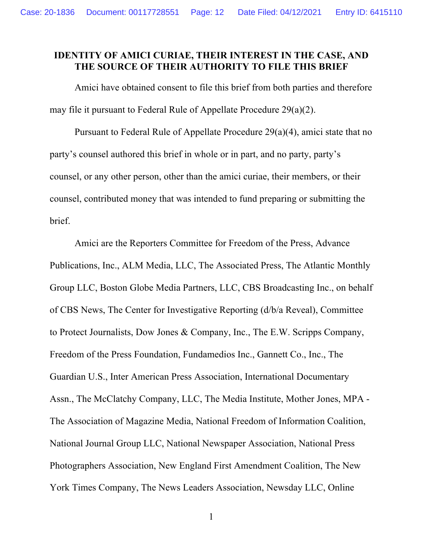### **IDENTITY OF AMICI CURIAE, THEIR INTEREST IN THE CASE, AND THE SOURCE OF THEIR AUTHORITY TO FILE THIS BRIEF**

Amici have obtained consent to file this brief from both parties and therefore may file it pursuant to Federal Rule of Appellate Procedure 29(a)(2).

Pursuant to Federal Rule of Appellate Procedure 29(a)(4), amici state that no party's counsel authored this brief in whole or in part, and no party, party's counsel, or any other person, other than the amici curiae, their members, or their counsel, contributed money that was intended to fund preparing or submitting the brief.

Amici are the Reporters Committee for Freedom of the Press, Advance Publications, Inc., ALM Media, LLC, The Associated Press, The Atlantic Monthly Group LLC, Boston Globe Media Partners, LLC, CBS Broadcasting Inc., on behalf of CBS News, The Center for Investigative Reporting (d/b/a Reveal), Committee to Protect Journalists, Dow Jones & Company, Inc., The E.W. Scripps Company, Freedom of the Press Foundation, Fundamedios Inc., Gannett Co., Inc., The Guardian U.S., Inter American Press Association, International Documentary Assn., The McClatchy Company, LLC, The Media Institute, Mother Jones, MPA - The Association of Magazine Media, National Freedom of Information Coalition, National Journal Group LLC, National Newspaper Association, National Press Photographers Association, New England First Amendment Coalition, The New York Times Company, The News Leaders Association, Newsday LLC, Online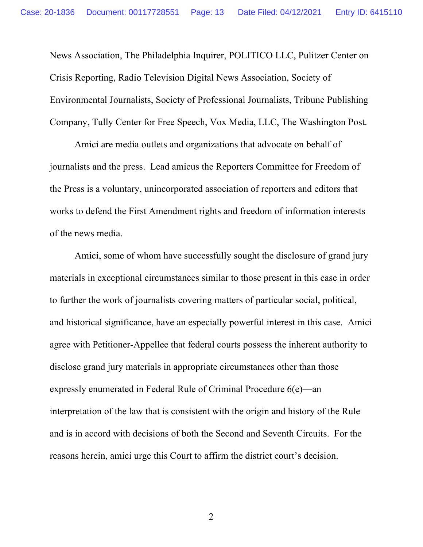News Association, The Philadelphia Inquirer, POLITICO LLC, Pulitzer Center on Crisis Reporting, Radio Television Digital News Association, Society of Environmental Journalists, Society of Professional Journalists, Tribune Publishing Company, Tully Center for Free Speech, Vox Media, LLC, The Washington Post.

Amici are media outlets and organizations that advocate on behalf of journalists and the press. Lead amicus the Reporters Committee for Freedom of the Press is a voluntary, unincorporated association of reporters and editors that works to defend the First Amendment rights and freedom of information interests of the news media.

Amici, some of whom have successfully sought the disclosure of grand jury materials in exceptional circumstances similar to those present in this case in order to further the work of journalists covering matters of particular social, political, and historical significance, have an especially powerful interest in this case. Amici agree with Petitioner-Appellee that federal courts possess the inherent authority to disclose grand jury materials in appropriate circumstances other than those expressly enumerated in Federal Rule of Criminal Procedure 6(e)—an interpretation of the law that is consistent with the origin and history of the Rule and is in accord with decisions of both the Second and Seventh Circuits. For the reasons herein, amici urge this Court to affirm the district court's decision.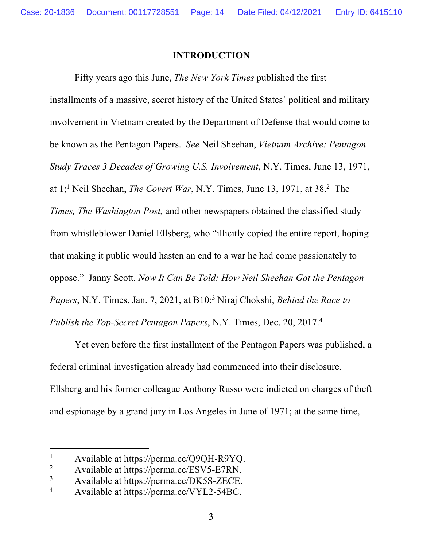#### **INTRODUCTION**

Fifty years ago this June, *The New York Times* published the first installments of a massive, secret history of the United States' political and military involvement in Vietnam created by the Department of Defense that would come to be known as the Pentagon Papers. *See* Neil Sheehan, *Vietnam Archive: Pentagon Study Traces 3 Decades of Growing U.S. Involvement*, N.Y. Times, June 13, 1971, at 1; <sup>1</sup> Neil Sheehan, *The Covert War*, N.Y. Times, June 13, 1971, at 38. 2 The *Times, The Washington Post,* and other newspapers obtained the classified study from whistleblower Daniel Ellsberg, who "illicitly copied the entire report, hoping that making it public would hasten an end to a war he had come passionately to oppose." Janny Scott, *Now It Can Be Told: How Neil Sheehan Got the Pentagon Papers*, N.Y. Times, Jan. 7, 2021, at B10; <sup>3</sup> Niraj Chokshi, *Behind the Race to Publish the Top-Secret Pentagon Papers*, N.Y. Times, Dec. 20, 2017. 4

Yet even before the first installment of the Pentagon Papers was published, a federal criminal investigation already had commenced into their disclosure. Ellsberg and his former colleague Anthony Russo were indicted on charges of theft and espionage by a grand jury in Los Angeles in June of 1971; at the same time,

<sup>&</sup>lt;sup>1</sup> Available at https://perma.cc/Q9QH-R9YQ.<br><sup>2</sup> Available at https://perma.cc/ESV5 E7PN

Available at https://perma.cc/ESV5-E7RN.

 $3$  Available at https://perma.cc/DK5S-ZECE.<br> $4$  Available at https://perma.cc/VVI.2.54BC

<sup>4</sup> Available at https://perma.cc/VYL2-54BC.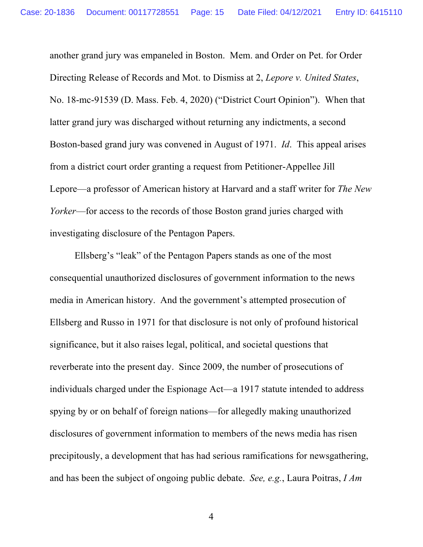another grand jury was empaneled in Boston. Mem. and Order on Pet. for Order Directing Release of Records and Mot. to Dismiss at 2, *Lepore v. United States*, No. 18-mc-91539 (D. Mass. Feb. 4, 2020) ("District Court Opinion"). When that latter grand jury was discharged without returning any indictments, a second Boston-based grand jury was convened in August of 1971. *Id*. This appeal arises from a district court order granting a request from Petitioner-Appellee Jill Lepore—a professor of American history at Harvard and a staff writer for *The New Yorker*—for access to the records of those Boston grand juries charged with investigating disclosure of the Pentagon Papers.

Ellsberg's "leak" of the Pentagon Papers stands as one of the most consequential unauthorized disclosures of government information to the news media in American history. And the government's attempted prosecution of Ellsberg and Russo in 1971 for that disclosure is not only of profound historical significance, but it also raises legal, political, and societal questions that reverberate into the present day. Since 2009, the number of prosecutions of individuals charged under the Espionage Act—a 1917 statute intended to address spying by or on behalf of foreign nations—for allegedly making unauthorized disclosures of government information to members of the news media has risen precipitously, a development that has had serious ramifications for newsgathering, and has been the subject of ongoing public debate. *See, e.g.*, Laura Poitras, *I Am*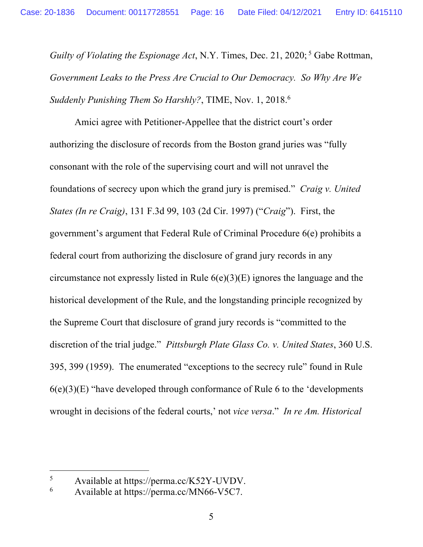*Guilty of Violating the Espionage Act*, N.Y. Times, Dec. 21, 2020;<sup>5</sup> Gabe Rottman, *Government Leaks to the Press Are Crucial to Our Democracy. So Why Are We Suddenly Punishing Them So Harshly?*, TIME, Nov. 1, 2018. 6

Amici agree with Petitioner-Appellee that the district court's order authorizing the disclosure of records from the Boston grand juries was "fully consonant with the role of the supervising court and will not unravel the foundations of secrecy upon which the grand jury is premised." *Craig v. United States (In re Craig)*, 131 F.3d 99, 103 (2d Cir. 1997) ("*Craig*"). First, the government's argument that Federal Rule of Criminal Procedure 6(e) prohibits a federal court from authorizing the disclosure of grand jury records in any circumstance not expressly listed in Rule 6(e)(3)(E) ignores the language and the historical development of the Rule, and the longstanding principle recognized by the Supreme Court that disclosure of grand jury records is "committed to the discretion of the trial judge." *Pittsburgh Plate Glass Co. v. United States*, 360 U.S. 395, 399 (1959). The enumerated "exceptions to the secrecy rule" found in Rule  $6(e)(3)(E)$  "have developed through conformance of Rule 6 to the 'developments' wrought in decisions of the federal courts,' not *vice versa*." *In re Am. Historical* 

 $5$  Available at https://perma.cc/K52Y-UVDV.<br> $6$  Available at https://perma.cc/MN66 V5C7

<sup>6</sup> Available at https://perma.cc/MN66-V5C7.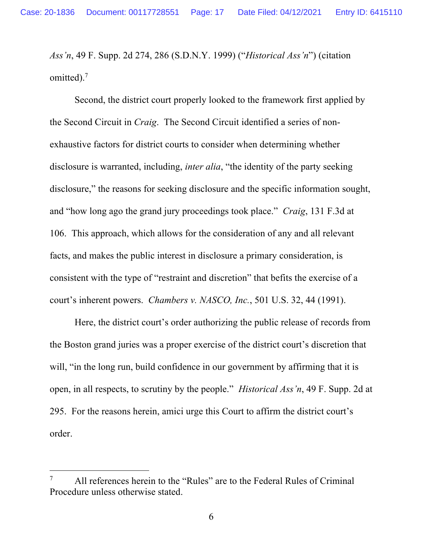*Ass'n*, 49 F. Supp. 2d 274, 286 (S.D.N.Y. 1999) ("*Historical Ass'n*") (citation omitted). $<sup>7</sup>$ </sup>

Second, the district court properly looked to the framework first applied by the Second Circuit in *Craig*. The Second Circuit identified a series of nonexhaustive factors for district courts to consider when determining whether disclosure is warranted, including, *inter alia*, "the identity of the party seeking disclosure," the reasons for seeking disclosure and the specific information sought, and "how long ago the grand jury proceedings took place." *Craig*, 131 F.3d at 106. This approach, which allows for the consideration of any and all relevant facts, and makes the public interest in disclosure a primary consideration, is consistent with the type of "restraint and discretion" that befits the exercise of a court's inherent powers. *Chambers v. NASCO, Inc.*, 501 U.S. 32, 44 (1991).

Here, the district court's order authorizing the public release of records from the Boston grand juries was a proper exercise of the district court's discretion that will, "in the long run, build confidence in our government by affirming that it is open, in all respects, to scrutiny by the people." *Historical Ass'n*, 49 F. Supp. 2d at 295. For the reasons herein, amici urge this Court to affirm the district court's order.

<sup>&</sup>lt;sup>7</sup> All references herein to the "Rules" are to the Federal Rules of Criminal Procedure unless otherwise stated.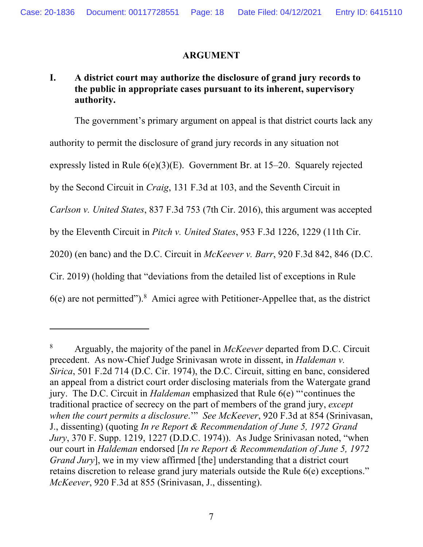#### **ARGUMENT**

## **I. A district court may authorize the disclosure of grand jury records to the public in appropriate cases pursuant to its inherent, supervisory authority.**

The government's primary argument on appeal is that district courts lack any authority to permit the disclosure of grand jury records in any situation not expressly listed in Rule 6(e)(3)(E). Government Br. at 15–20. Squarely rejected by the Second Circuit in *Craig*, 131 F.3d at 103, and the Seventh Circuit in *Carlson v. United States*, 837 F.3d 753 (7th Cir. 2016), this argument was accepted by the Eleventh Circuit in *Pitch v. United States*, 953 F.3d 1226, 1229 (11th Cir. 2020) (en banc) and the D.C. Circuit in *McKeever v. Barr*, 920 F.3d 842, 846 (D.C. Cir. 2019) (holding that "deviations from the detailed list of exceptions in Rule  $6(e)$  are not permitted").<sup>8</sup> Amici agree with Petitioner-Appellee that, as the district

<sup>8</sup> Arguably, the majority of the panel in *McKeever* departed from D.C. Circuit precedent. As now-Chief Judge Srinivasan wrote in dissent, in *Haldeman v. Sirica*, 501 F.2d 714 (D.C. Cir. 1974), the D.C. Circuit, sitting en banc, considered an appeal from a district court order disclosing materials from the Watergate grand jury. The D.C. Circuit in *Haldeman* emphasized that Rule 6(e) "'continues the traditional practice of secrecy on the part of members of the grand jury, *except when the court permits a disclosure*.'" *See McKeever*, 920 F.3d at 854 (Srinivasan, J., dissenting) (quoting *In re Report & Recommendation of June 5, 1972 Grand Jury*, 370 F. Supp. 1219, 1227 (D.D.C. 1974)). As Judge Srinivasan noted, "when our court in *Haldeman* endorsed [*In re Report & Recommendation of June 5, 1972 Grand Jury*], we in my view affirmed [the] understanding that a district court retains discretion to release grand jury materials outside the Rule 6(e) exceptions." *McKeever*, 920 F.3d at 855 (Srinivasan, J., dissenting).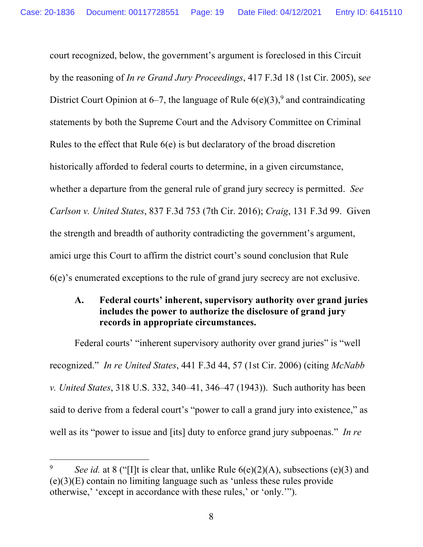court recognized, below, the government's argument is foreclosed in this Circuit by the reasoning of *In re Grand Jury Proceedings*, 417 F.3d 18 (1st Cir. 2005), s*ee* District Court Opinion at 6–7, the language of Rule  $6(e)(3)$ ,<sup>9</sup> and contraindicating statements by both the Supreme Court and the Advisory Committee on Criminal Rules to the effect that Rule 6(e) is but declaratory of the broad discretion historically afforded to federal courts to determine, in a given circumstance, whether a departure from the general rule of grand jury secrecy is permitted. *See Carlson v. United States*, 837 F.3d 753 (7th Cir. 2016); *Craig*, 131 F.3d 99. Given the strength and breadth of authority contradicting the government's argument, amici urge this Court to affirm the district court's sound conclusion that Rule 6(e)'s enumerated exceptions to the rule of grand jury secrecy are not exclusive.

#### **A. Federal courts' inherent, supervisory authority over grand juries includes the power to authorize the disclosure of grand jury records in appropriate circumstances.**

Federal courts' "inherent supervisory authority over grand juries" is "well recognized." *In re United States*, 441 F.3d 44, 57 (1st Cir. 2006) (citing *McNabb v. United States*, 318 U.S. 332, 340–41, 346–47 (1943)). Such authority has been said to derive from a federal court's "power to call a grand jury into existence," as well as its "power to issue and [its] duty to enforce grand jury subpoenas." *In re* 

<sup>&</sup>lt;sup>9</sup> *See id.* at 8 ("[I]t is clear that, unlike Rule  $6(e)(2)(A)$ , subsections (e)(3) and (e)(3)(E) contain no limiting language such as 'unless these rules provide otherwise,' 'except in accordance with these rules,' or 'only.'").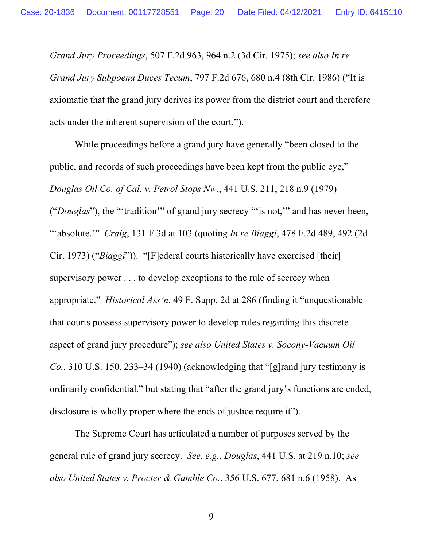*Grand Jury Proceedings*, 507 F.2d 963, 964 n.2 (3d Cir. 1975); *see also In re Grand Jury Subpoena Duces Tecum*, 797 F.2d 676, 680 n.4 (8th Cir. 1986) ("It is axiomatic that the grand jury derives its power from the district court and therefore acts under the inherent supervision of the court.").

While proceedings before a grand jury have generally "been closed to the public, and records of such proceedings have been kept from the public eye," *Douglas Oil Co. of Cal. v. Petrol Stops Nw.*, 441 U.S. 211, 218 n.9 (1979) ("*Douglas*"), the "'tradition'" of grand jury secrecy "'is not,'" and has never been, "'absolute.'" *Craig*, 131 F.3d at 103 (quoting *In re Biaggi*, 478 F.2d 489, 492 (2d Cir. 1973) ("*Biaggi*")). "[F]ederal courts historically have exercised [their] supervisory power . . . to develop exceptions to the rule of secrecy when appropriate." *Historical Ass'n*, 49 F. Supp. 2d at 286 (finding it "unquestionable that courts possess supervisory power to develop rules regarding this discrete aspect of grand jury procedure"); *see also United States v. Socony-Vacuum Oil Co.*, 310 U.S. 150, 233–34 (1940) (acknowledging that "[g]rand jury testimony is ordinarily confidential," but stating that "after the grand jury's functions are ended, disclosure is wholly proper where the ends of justice require it").

The Supreme Court has articulated a number of purposes served by the general rule of grand jury secrecy. *See, e.g.*, *Douglas*, 441 U.S. at 219 n.10; *see also United States v. Procter & Gamble Co.*, 356 U.S. 677, 681 n.6 (1958). As

9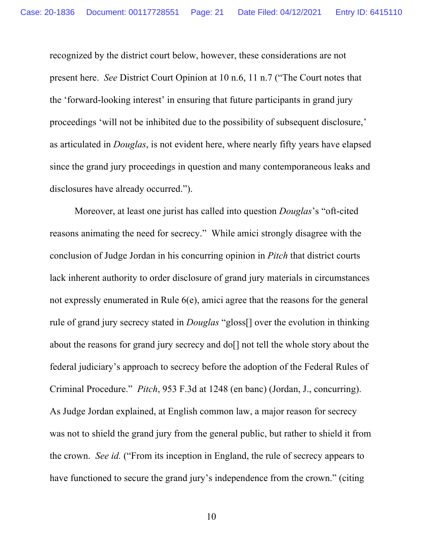recognized by the district court below, however, these considerations are not present here. *See* District Court Opinion at 10 n.6, 11 n.7 ("The Court notes that the 'forward-looking interest' in ensuring that future participants in grand jury proceedings 'will not be inhibited due to the possibility of subsequent disclosure,' as articulated in *Douglas*, is not evident here, where nearly fifty years have elapsed since the grand jury proceedings in question and many contemporaneous leaks and disclosures have already occurred.").

Moreover, at least one jurist has called into question *Douglas*'s "oft-cited reasons animating the need for secrecy." While amici strongly disagree with the conclusion of Judge Jordan in his concurring opinion in *Pitch* that district courts lack inherent authority to order disclosure of grand jury materials in circumstances not expressly enumerated in Rule 6(e), amici agree that the reasons for the general rule of grand jury secrecy stated in *Douglas* "gloss[] over the evolution in thinking about the reasons for grand jury secrecy and do[] not tell the whole story about the federal judiciary's approach to secrecy before the adoption of the Federal Rules of Criminal Procedure." *Pitch*, 953 F.3d at 1248 (en banc) (Jordan, J., concurring). As Judge Jordan explained, at English common law, a major reason for secrecy was not to shield the grand jury from the general public, but rather to shield it from the crown. *See id.* ("From its inception in England, the rule of secrecy appears to have functioned to secure the grand jury's independence from the crown." (citing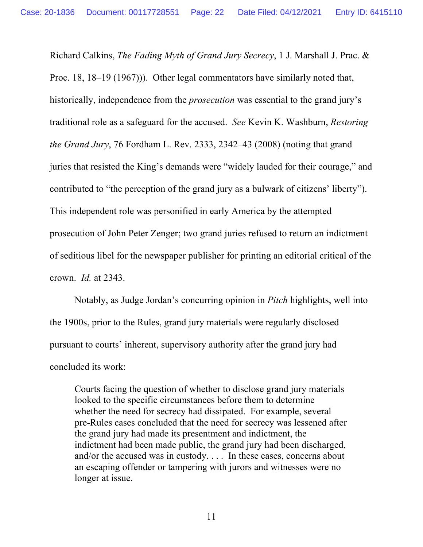Richard Calkins, *The Fading Myth of Grand Jury Secrecy*, 1 J. Marshall J. Prac. & Proc. 18, 18–19 (1967))). Other legal commentators have similarly noted that, historically, independence from the *prosecution* was essential to the grand jury's traditional role as a safeguard for the accused. *See* Kevin K. Washburn, *Restoring the Grand Jury*, 76 Fordham L. Rev. 2333, 2342–43 (2008) (noting that grand juries that resisted the King's demands were "widely lauded for their courage," and contributed to "the perception of the grand jury as a bulwark of citizens' liberty"). This independent role was personified in early America by the attempted prosecution of John Peter Zenger; two grand juries refused to return an indictment of seditious libel for the newspaper publisher for printing an editorial critical of the crown. *Id.* at 2343.

Notably, as Judge Jordan's concurring opinion in *Pitch* highlights, well into the 1900s, prior to the Rules, grand jury materials were regularly disclosed pursuant to courts' inherent, supervisory authority after the grand jury had concluded its work:

Courts facing the question of whether to disclose grand jury materials looked to the specific circumstances before them to determine whether the need for secrecy had dissipated. For example, several pre-Rules cases concluded that the need for secrecy was lessened after the grand jury had made its presentment and indictment, the indictment had been made public, the grand jury had been discharged, and/or the accused was in custody. . . . In these cases, concerns about an escaping offender or tampering with jurors and witnesses were no longer at issue.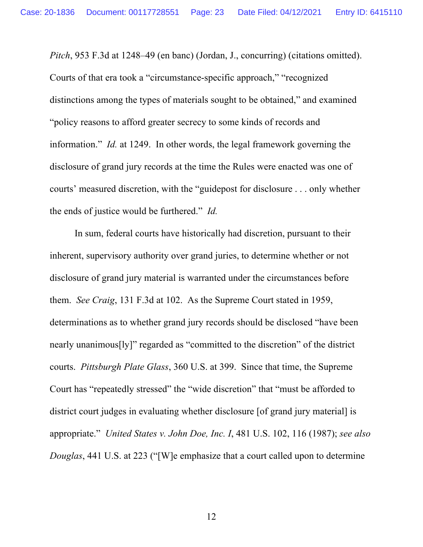*Pitch*, 953 F.3d at 1248–49 (en banc) (Jordan, J., concurring) (citations omitted). Courts of that era took a "circumstance-specific approach," "recognized distinctions among the types of materials sought to be obtained," and examined "policy reasons to afford greater secrecy to some kinds of records and information." *Id.* at 1249. In other words, the legal framework governing the disclosure of grand jury records at the time the Rules were enacted was one of courts' measured discretion, with the "guidepost for disclosure . . . only whether the ends of justice would be furthered." *Id.*

In sum, federal courts have historically had discretion, pursuant to their inherent, supervisory authority over grand juries, to determine whether or not disclosure of grand jury material is warranted under the circumstances before them. *See Craig*, 131 F.3d at 102. As the Supreme Court stated in 1959, determinations as to whether grand jury records should be disclosed "have been nearly unanimous[ly]" regarded as "committed to the discretion" of the district courts. *Pittsburgh Plate Glass*, 360 U.S. at 399. Since that time, the Supreme Court has "repeatedly stressed" the "wide discretion" that "must be afforded to district court judges in evaluating whether disclosure [of grand jury material] is appropriate." *United States v. John Doe, Inc. I*, 481 U.S. 102, 116 (1987); *see also Douglas*, 441 U.S. at 223 ("[W]e emphasize that a court called upon to determine

12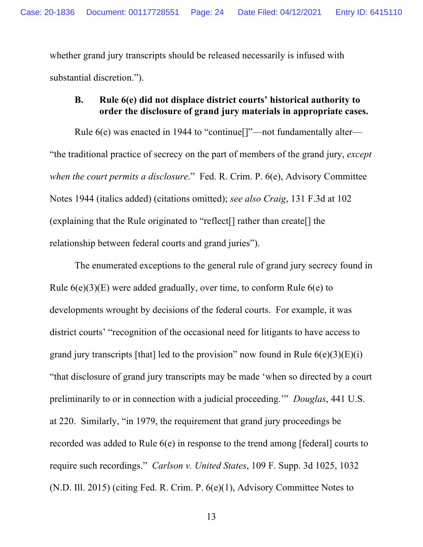whether grand jury transcripts should be released necessarily is infused with substantial discretion.").

#### **B. Rule 6(e) did not displace district courts' historical authority to order the disclosure of grand jury materials in appropriate cases.**

Rule 6(e) was enacted in 1944 to "continue[]"—not fundamentally alter— "the traditional practice of secrecy on the part of members of the grand jury, *except when the court permits a disclosure*." Fed. R. Crim. P. 6(e), Advisory Committee Notes 1944 (italics added) (citations omitted); *see also Craig*, 131 F.3d at 102 (explaining that the Rule originated to "reflect[] rather than create[] the relationship between federal courts and grand juries").

The enumerated exceptions to the general rule of grand jury secrecy found in Rule  $6(e)(3)(E)$  were added gradually, over time, to conform Rule  $6(e)$  to developments wrought by decisions of the federal courts. For example, it was district courts' "recognition of the occasional need for litigants to have access to grand jury transcripts [that] led to the provision" now found in Rule  $6(e)(3)(E)(i)$ "that disclosure of grand jury transcripts may be made 'when so directed by a court preliminarily to or in connection with a judicial proceeding.'" *Douglas*, 441 U.S. at 220. Similarly, "in 1979, the requirement that grand jury proceedings be recorded was added to Rule 6(e) in response to the trend among [federal] courts to require such recordings." *Carlson v. United States*, 109 F. Supp. 3d 1025, 1032 (N.D. Ill. 2015) (citing Fed. R. Crim. P. 6(e)(1), Advisory Committee Notes to

13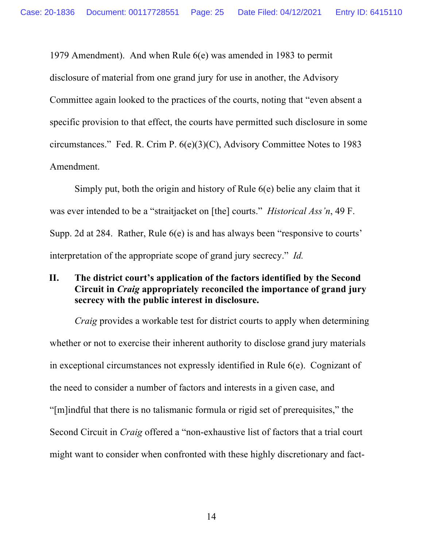1979 Amendment). And when Rule 6(e) was amended in 1983 to permit disclosure of material from one grand jury for use in another, the Advisory Committee again looked to the practices of the courts, noting that "even absent a specific provision to that effect, the courts have permitted such disclosure in some circumstances." Fed. R. Crim P. 6(e)(3)(C), Advisory Committee Notes to 1983 Amendment.

Simply put, both the origin and history of Rule 6(e) belie any claim that it was ever intended to be a "straitjacket on [the] courts." *Historical Ass'n*, 49 F. Supp. 2d at 284. Rather, Rule 6(e) is and has always been "responsive to courts' interpretation of the appropriate scope of grand jury secrecy." *Id.*

### **II. The district court's application of the factors identified by the Second Circuit in** *Craig* **appropriately reconciled the importance of grand jury secrecy with the public interest in disclosure.**

*Craig* provides a workable test for district courts to apply when determining whether or not to exercise their inherent authority to disclose grand jury materials in exceptional circumstances not expressly identified in Rule 6(e). Cognizant of the need to consider a number of factors and interests in a given case, and "[m]indful that there is no talismanic formula or rigid set of prerequisites," the Second Circuit in *Craig* offered a "non-exhaustive list of factors that a trial court might want to consider when confronted with these highly discretionary and fact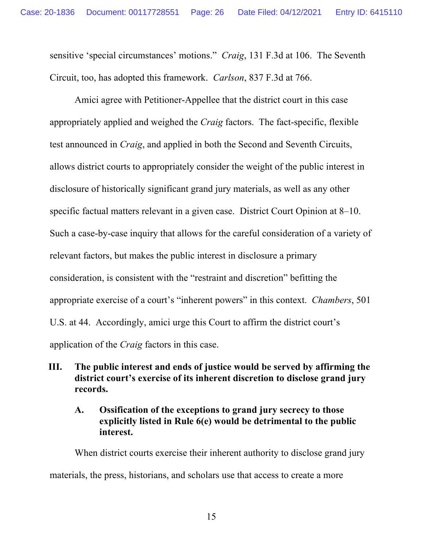sensitive 'special circumstances' motions." *Craig*, 131 F.3d at 106. The Seventh Circuit, too, has adopted this framework. *Carlson*, 837 F.3d at 766.

Amici agree with Petitioner-Appellee that the district court in this case appropriately applied and weighed the *Craig* factors. The fact-specific, flexible test announced in *Craig*, and applied in both the Second and Seventh Circuits, allows district courts to appropriately consider the weight of the public interest in disclosure of historically significant grand jury materials, as well as any other specific factual matters relevant in a given case. District Court Opinion at 8–10. Such a case-by-case inquiry that allows for the careful consideration of a variety of relevant factors, but makes the public interest in disclosure a primary consideration, is consistent with the "restraint and discretion" befitting the appropriate exercise of a court's "inherent powers" in this context. *Chambers*, 501 U.S. at 44. Accordingly, amici urge this Court to affirm the district court's application of the *Craig* factors in this case.

## **III. The public interest and ends of justice would be served by affirming the district court's exercise of its inherent discretion to disclose grand jury records.**

#### **A. Ossification of the exceptions to grand jury secrecy to those explicitly listed in Rule 6(e) would be detrimental to the public interest.**

When district courts exercise their inherent authority to disclose grand jury materials, the press, historians, and scholars use that access to create a more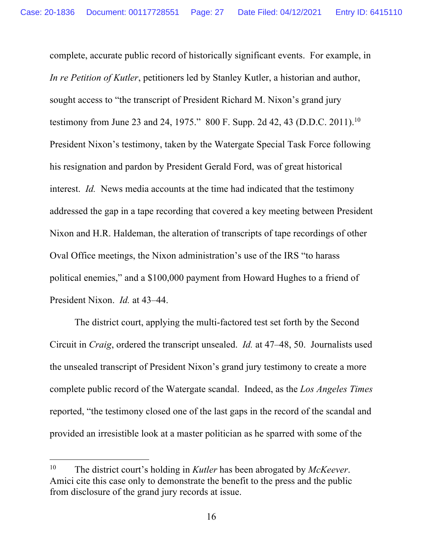complete, accurate public record of historically significant events. For example, in *In re Petition of Kutler*, petitioners led by Stanley Kutler, a historian and author, sought access to "the transcript of President Richard M. Nixon's grand jury testimony from June 23 and 24, 1975." 800 F. Supp. 2d 42, 43 (D.D.C. 2011).<sup>10</sup> President Nixon's testimony, taken by the Watergate Special Task Force following his resignation and pardon by President Gerald Ford, was of great historical interest. *Id.* News media accounts at the time had indicated that the testimony addressed the gap in a tape recording that covered a key meeting between President Nixon and H.R. Haldeman, the alteration of transcripts of tape recordings of other Oval Office meetings, the Nixon administration's use of the IRS "to harass political enemies," and a \$100,000 payment from Howard Hughes to a friend of President Nixon. *Id.* at 43–44.

The district court, applying the multi-factored test set forth by the Second Circuit in *Craig*, ordered the transcript unsealed. *Id.* at 47–48, 50. Journalists used the unsealed transcript of President Nixon's grand jury testimony to create a more complete public record of the Watergate scandal. Indeed, as the *Los Angeles Times*  reported, "the testimony closed one of the last gaps in the record of the scandal and provided an irresistible look at a master politician as he sparred with some of the

<sup>10</sup> The district court's holding in *Kutler* has been abrogated by *McKeever*. Amici cite this case only to demonstrate the benefit to the press and the public from disclosure of the grand jury records at issue.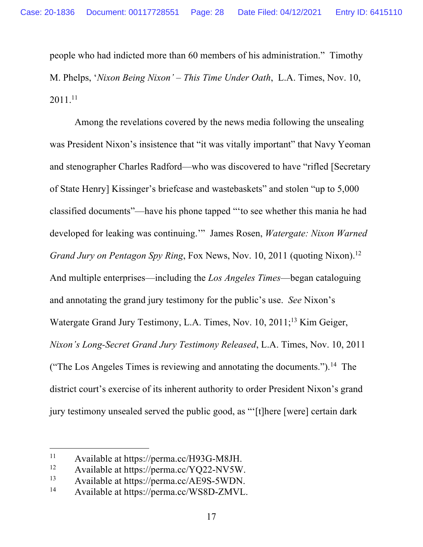people who had indicted more than 60 members of his administration." Timothy M. Phelps, '*Nixon Being Nixon' – This Time Under Oath*, L.A. Times, Nov. 10, 2011. 11

Among the revelations covered by the news media following the unsealing was President Nixon's insistence that "it was vitally important" that Navy Yeoman and stenographer Charles Radford—who was discovered to have "rifled [Secretary of State Henry] Kissinger's briefcase and wastebaskets" and stolen "up to 5,000 classified documents"—have his phone tapped "'to see whether this mania he had developed for leaking was continuing.'" James Rosen, *Watergate: Nixon Warned Grand Jury on Pentagon Spy Ring*, Fox News, Nov. 10, 2011 (quoting Nixon). 12 And multiple enterprises—including the *Los Angeles Times*—began cataloguing and annotating the grand jury testimony for the public's use. *See* Nixon's Watergate Grand Jury Testimony, L.A. Times, Nov. 10, 2011;<sup>13</sup> Kim Geiger, *Nixon's Long-Secret Grand Jury Testimony Released*, L.A. Times, Nov. 10, 2011 ("The Los Angeles Times is reviewing and annotating the documents.").<sup>14</sup> The district court's exercise of its inherent authority to order President Nixon's grand jury testimony unsealed served the public good, as "'[t]here [were] certain dark

<sup>&</sup>lt;sup>11</sup> Available at https://perma.cc/H93G-M8JH.<br><sup>12</sup> Available at https://perma.cc/VO22 NV5W

Available at https://perma.cc/YQ22-NV5W.

 $13$  Available at https://perma.cc/AE9S-5WDN.<br> $14$  Available at https://perma.cc/WS8D.ZMVI

<sup>14</sup> Available at https://perma.cc/WS8D-ZMVL.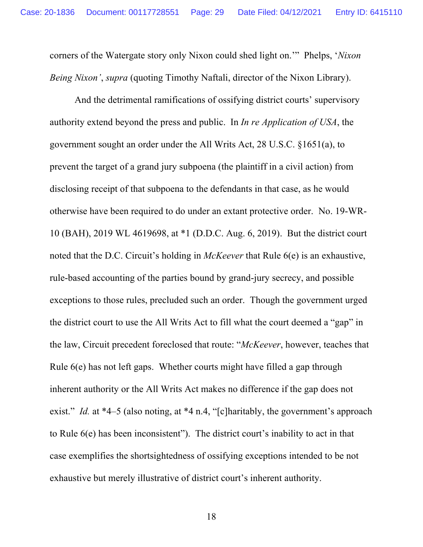corners of the Watergate story only Nixon could shed light on.'" Phelps, '*Nixon Being Nixon'*, *supra* (quoting Timothy Naftali, director of the Nixon Library).

And the detrimental ramifications of ossifying district courts' supervisory authority extend beyond the press and public. In *In re Application of USA*, the government sought an order under the All Writs Act, 28 U.S.C. §1651(a), to prevent the target of a grand jury subpoena (the plaintiff in a civil action) from disclosing receipt of that subpoena to the defendants in that case, as he would otherwise have been required to do under an extant protective order. No. 19-WR-10 (BAH), 2019 WL 4619698, at \*1 (D.D.C. Aug. 6, 2019). But the district court noted that the D.C. Circuit's holding in *McKeever* that Rule 6(e) is an exhaustive, rule-based accounting of the parties bound by grand-jury secrecy, and possible exceptions to those rules, precluded such an order. Though the government urged the district court to use the All Writs Act to fill what the court deemed a "gap" in the law, Circuit precedent foreclosed that route: "*McKeever*, however, teaches that Rule 6(e) has not left gaps. Whether courts might have filled a gap through inherent authority or the All Writs Act makes no difference if the gap does not exist." *Id.* at \*4–5 (also noting, at \*4 n.4, "[c]haritably, the government's approach to Rule 6(e) has been inconsistent"). The district court's inability to act in that case exemplifies the shortsightedness of ossifying exceptions intended to be not exhaustive but merely illustrative of district court's inherent authority.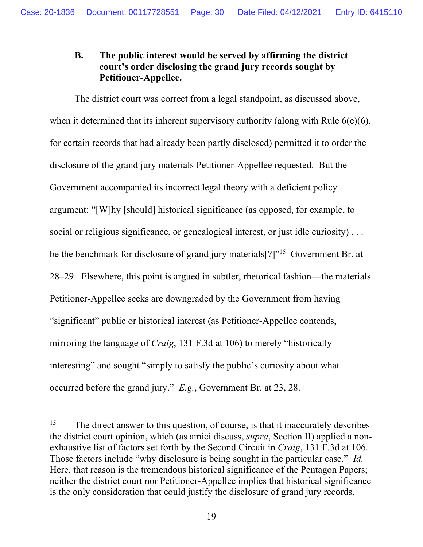## **B. The public interest would be served by affirming the district court's order disclosing the grand jury records sought by Petitioner-Appellee.**

The district court was correct from a legal standpoint, as discussed above, when it determined that its inherent supervisory authority (along with Rule 6(e)(6), for certain records that had already been partly disclosed) permitted it to order the disclosure of the grand jury materials Petitioner-Appellee requested. But the Government accompanied its incorrect legal theory with a deficient policy argument: "[W]hy [should] historical significance (as opposed, for example, to social or religious significance, or genealogical interest, or just idle curiosity)... be the benchmark for disclosure of grand jury materials<sup>[?]"15</sup> Government Br. at 28–29. Elsewhere, this point is argued in subtler, rhetorical fashion—the materials Petitioner-Appellee seeks are downgraded by the Government from having "significant" public or historical interest (as Petitioner-Appellee contends, mirroring the language of *Craig*, 131 F.3d at 106) to merely "historically interesting" and sought "simply to satisfy the public's curiosity about what occurred before the grand jury." *E.g.*, Government Br. at 23, 28.

<sup>&</sup>lt;sup>15</sup> The direct answer to this question, of course, is that it inaccurately describes the district court opinion, which (as amici discuss, *supra*, Section II) applied a nonexhaustive list of factors set forth by the Second Circuit in *Craig*, 131 F.3d at 106. Those factors include "why disclosure is being sought in the particular case." *Id.* Here, that reason is the tremendous historical significance of the Pentagon Papers; neither the district court nor Petitioner-Appellee implies that historical significance is the only consideration that could justify the disclosure of grand jury records.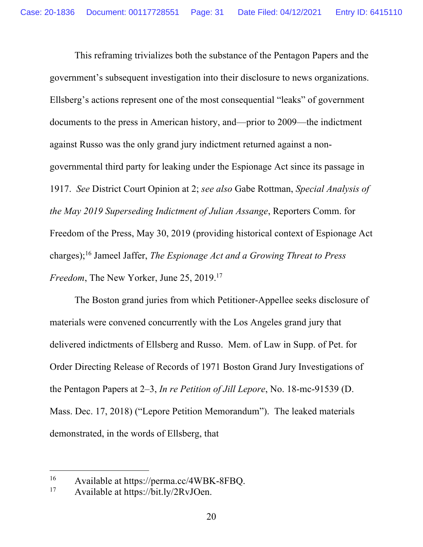This reframing trivializes both the substance of the Pentagon Papers and the government's subsequent investigation into their disclosure to news organizations. Ellsberg's actions represent one of the most consequential "leaks" of government documents to the press in American history, and—prior to 2009—the indictment against Russo was the only grand jury indictment returned against a nongovernmental third party for leaking under the Espionage Act since its passage in 1917. *See* District Court Opinion at 2; *see also* Gabe Rottman, *Special Analysis of the May 2019 Superseding Indictment of Julian Assange*, Reporters Comm. for Freedom of the Press, May 30, 2019 (providing historical context of Espionage Act charges); <sup>16</sup> Jameel Jaffer, *The Espionage Act and a Growing Threat to Press Freedom*, The New Yorker, June 25, 2019. 17

The Boston grand juries from which Petitioner-Appellee seeks disclosure of materials were convened concurrently with the Los Angeles grand jury that delivered indictments of Ellsberg and Russo. Mem. of Law in Supp. of Pet. for Order Directing Release of Records of 1971 Boston Grand Jury Investigations of the Pentagon Papers at 2–3, *In re Petition of Jill Lepore*, No. 18-mc-91539 (D. Mass. Dec. 17, 2018) ("Lepore Petition Memorandum"). The leaked materials demonstrated, in the words of Ellsberg, that

<sup>&</sup>lt;sup>16</sup> Available at https://perma.cc/4WBK-8FBQ.<br><sup>17</sup> Available at https://bit.ly/2RyIQen

<sup>17</sup> Available at https://bit.ly/2RvJOen.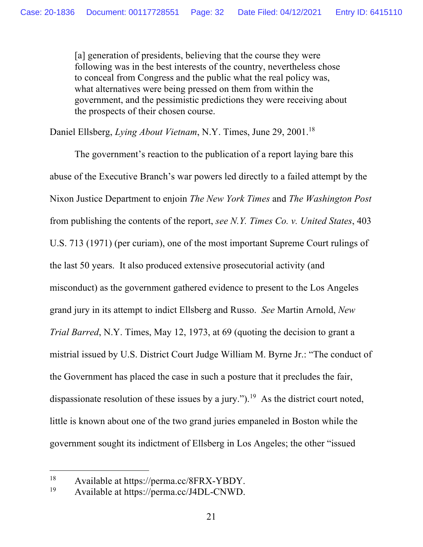[a] generation of presidents, believing that the course they were following was in the best interests of the country, nevertheless chose to conceal from Congress and the public what the real policy was, what alternatives were being pressed on them from within the government, and the pessimistic predictions they were receiving about the prospects of their chosen course.

Daniel Ellsberg, *Lying About Vietnam*, N.Y. Times, June 29, 2001. 18

The government's reaction to the publication of a report laying bare this abuse of the Executive Branch's war powers led directly to a failed attempt by the Nixon Justice Department to enjoin *The New York Times* and *The Washington Post* from publishing the contents of the report, *see N.Y. Times Co. v. United States*, 403 U.S. 713 (1971) (per curiam), one of the most important Supreme Court rulings of the last 50 years. It also produced extensive prosecutorial activity (and misconduct) as the government gathered evidence to present to the Los Angeles grand jury in its attempt to indict Ellsberg and Russo. *See* Martin Arnold, *New Trial Barred*, N.Y. Times, May 12, 1973, at 69 (quoting the decision to grant a mistrial issued by U.S. District Court Judge William M. Byrne Jr.: "The conduct of the Government has placed the case in such a posture that it precludes the fair, dispassionate resolution of these issues by a jury.").<sup>19</sup> As the district court noted, little is known about one of the two grand juries empaneled in Boston while the government sought its indictment of Ellsberg in Los Angeles; the other "issued

<sup>&</sup>lt;sup>18</sup> Available at https://perma.cc/8FRX-YBDY.<br><sup>19</sup> Available at https://perma.cc/IADI\_CNWD

Available at https://perma.cc/J4DL-CNWD.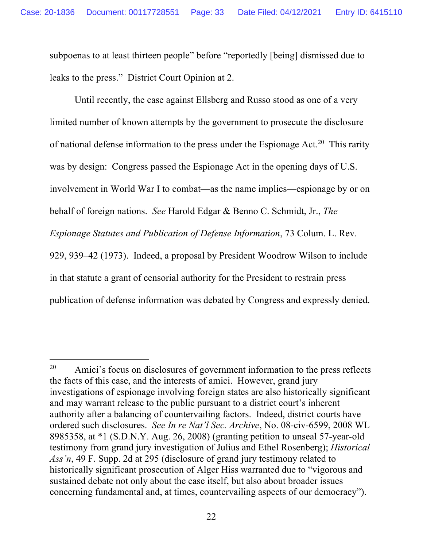subpoenas to at least thirteen people" before "reportedly [being] dismissed due to leaks to the press." District Court Opinion at 2.

Until recently, the case against Ellsberg and Russo stood as one of a very limited number of known attempts by the government to prosecute the disclosure of national defense information to the press under the Espionage Act.<sup>20</sup> This rarity was by design: Congress passed the Espionage Act in the opening days of U.S. involvement in World War I to combat—as the name implies—espionage by or on behalf of foreign nations. *See* Harold Edgar & Benno C. Schmidt, Jr., *The Espionage Statutes and Publication of Defense Information*, 73 Colum. L. Rev. 929, 939–42 (1973). Indeed, a proposal by President Woodrow Wilson to include in that statute a grant of censorial authority for the President to restrain press publication of defense information was debated by Congress and expressly denied.

 $20$  Amici's focus on disclosures of government information to the press reflects the facts of this case, and the interests of amici. However, grand jury investigations of espionage involving foreign states are also historically significant and may warrant release to the public pursuant to a district court's inherent authority after a balancing of countervailing factors. Indeed, district courts have ordered such disclosures. *See In re Nat'l Sec. Archive*, No. 08-civ-6599, 2008 WL 8985358, at \*1 (S.D.N.Y. Aug. 26, 2008) (granting petition to unseal 57-year-old testimony from grand jury investigation of Julius and Ethel Rosenberg); *Historical Ass'n*, 49 F. Supp. 2d at 295 (disclosure of grand jury testimony related to historically significant prosecution of Alger Hiss warranted due to "vigorous and sustained debate not only about the case itself, but also about broader issues concerning fundamental and, at times, countervailing aspects of our democracy").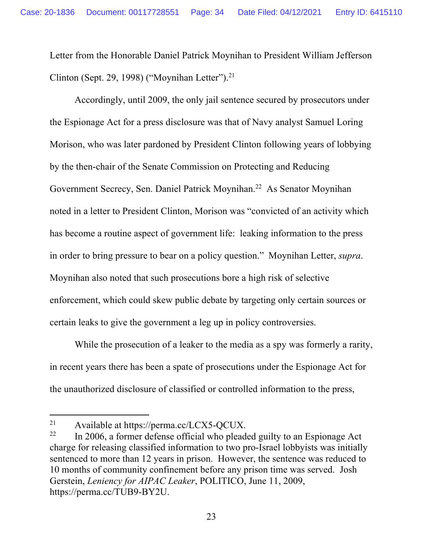Letter from the Honorable Daniel Patrick Moynihan to President William Jefferson Clinton (Sept. 29, 1998) ("Moynihan Letter").<sup>21</sup>

Accordingly, until 2009, the only jail sentence secured by prosecutors under the Espionage Act for a press disclosure was that of Navy analyst Samuel Loring Morison, who was later pardoned by President Clinton following years of lobbying by the then-chair of the Senate Commission on Protecting and Reducing Government Secrecy, Sen. Daniel Patrick Moynihan.<sup>22</sup> As Senator Moynihan noted in a letter to President Clinton, Morison was "convicted of an activity which has become a routine aspect of government life: leaking information to the press in order to bring pressure to bear on a policy question." Moynihan Letter, *supra*. Moynihan also noted that such prosecutions bore a high risk of selective enforcement, which could skew public debate by targeting only certain sources or certain leaks to give the government a leg up in policy controversies.

While the prosecution of a leaker to the media as a spy was formerly a rarity, in recent years there has been a spate of prosecutions under the Espionage Act for the unauthorized disclosure of classified or controlled information to the press,

<sup>21</sup> Available at https://perma.cc/LCX5-QCUX.

 $22$  In 2006, a former defense official who pleaded guilty to an Espionage Act charge for releasing classified information to two pro-Israel lobbyists was initially sentenced to more than 12 years in prison. However, the sentence was reduced to 10 months of community confinement before any prison time was served. Josh Gerstein, *Leniency for AIPAC Leaker*, POLITICO, June 11, 2009, https://perma.cc/TUB9-BY2U.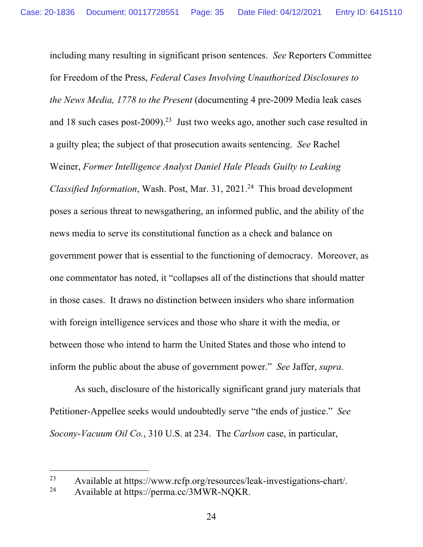including many resulting in significant prison sentences. *See* Reporters Committee for Freedom of the Press, *Federal Cases Involving Unauthorized Disclosures to the News Media, 1778 to the Present* (documenting 4 pre-2009 Media leak cases and 18 such cases post-2009).<sup>23</sup> Just two weeks ago, another such case resulted in a guilty plea; the subject of that prosecution awaits sentencing. *See* Rachel Weiner, *Former Intelligence Analyst Daniel Hale Pleads Guilty to Leaking Classified Information*, Wash. Post, Mar. 31, 2021. 24 This broad development poses a serious threat to newsgathering, an informed public, and the ability of the news media to serve its constitutional function as a check and balance on government power that is essential to the functioning of democracy. Moreover, as one commentator has noted, it "collapses all of the distinctions that should matter in those cases. It draws no distinction between insiders who share information with foreign intelligence services and those who share it with the media, or between those who intend to harm the United States and those who intend to inform the public about the abuse of government power." *See* Jaffer, *supra*.

As such, disclosure of the historically significant grand jury materials that Petitioner-Appellee seeks would undoubtedly serve "the ends of justice." *See Socony-Vacuum Oil Co.*, 310 U.S. at 234. The *Carlson* case, in particular,

<sup>23</sup> Available at https://www.rcfp.org/resources/leak-investigations-chart/.<br>24 Available at https://perma.cc/3MWP NOKR

Available at https://perma.cc/3MWR-NQKR.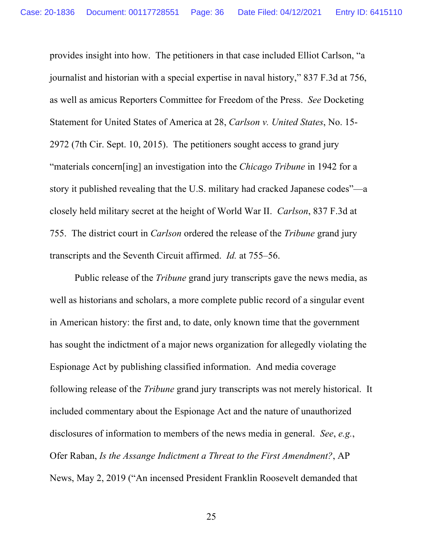provides insight into how. The petitioners in that case included Elliot Carlson, "a journalist and historian with a special expertise in naval history," 837 F.3d at 756, as well as amicus Reporters Committee for Freedom of the Press. *See* Docketing Statement for United States of America at 28, *Carlson v. United States*, No. 15- 2972 (7th Cir. Sept. 10, 2015). The petitioners sought access to grand jury "materials concern[ing] an investigation into the *Chicago Tribune* in 1942 for a story it published revealing that the U.S. military had cracked Japanese codes"—a closely held military secret at the height of World War II. *Carlson*, 837 F.3d at 755. The district court in *Carlson* ordered the release of the *Tribune* grand jury transcripts and the Seventh Circuit affirmed. *Id.* at 755–56.

Public release of the *Tribune* grand jury transcripts gave the news media, as well as historians and scholars, a more complete public record of a singular event in American history: the first and, to date, only known time that the government has sought the indictment of a major news organization for allegedly violating the Espionage Act by publishing classified information. And media coverage following release of the *Tribune* grand jury transcripts was not merely historical. It included commentary about the Espionage Act and the nature of unauthorized disclosures of information to members of the news media in general. *See*, *e.g.*, Ofer Raban, *Is the Assange Indictment a Threat to the First Amendment?*, AP News, May 2, 2019 ("An incensed President Franklin Roosevelt demanded that

25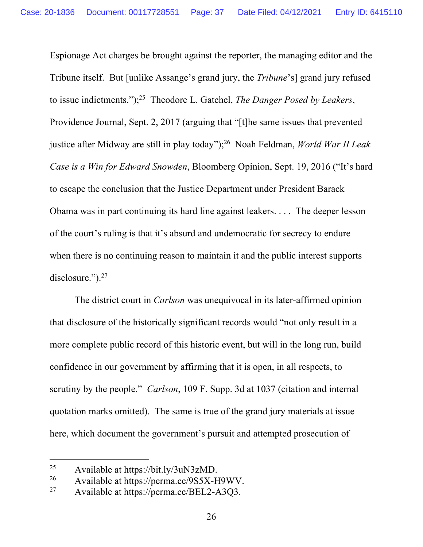Espionage Act charges be brought against the reporter, the managing editor and the Tribune itself. But [unlike Assange's grand jury, the *Tribune*'s] grand jury refused to issue indictments."); 25 Theodore L. Gatchel, *The Danger Posed by Leakers*, Providence Journal, Sept. 2, 2017 (arguing that "[t]he same issues that prevented justice after Midway are still in play today"); <sup>26</sup> Noah Feldman, *World War II Leak Case is a Win for Edward Snowden*, Bloomberg Opinion, Sept. 19, 2016 ("It's hard to escape the conclusion that the Justice Department under President Barack Obama was in part continuing its hard line against leakers. . . . The deeper lesson of the court's ruling is that it's absurd and undemocratic for secrecy to endure when there is no continuing reason to maintain it and the public interest supports disclosure.").<sup>27</sup>

The district court in *Carlson* was unequivocal in its later-affirmed opinion that disclosure of the historically significant records would "not only result in a more complete public record of this historic event, but will in the long run, build confidence in our government by affirming that it is open, in all respects, to scrutiny by the people." *Carlson*, 109 F. Supp. 3d at 1037 (citation and internal quotation marks omitted). The same is true of the grand jury materials at issue here, which document the government's pursuit and attempted prosecution of

<sup>25</sup> Available at https://bit.ly/3uN3zMD.

<sup>&</sup>lt;sup>26</sup> Available at https://perma.cc/9S5X-H9WV.<br><sup>27</sup> Available at https://perma.cc/BEL2-A3O3

Available at https://perma.cc/BEL2-A3Q3.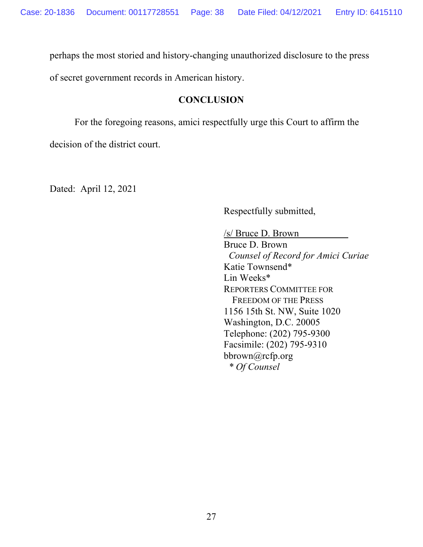perhaps the most storied and history-changing unauthorized disclosure to the press

of secret government records in American history.

## **CONCLUSION**

For the foregoing reasons, amici respectfully urge this Court to affirm the

decision of the district court.

Dated: April 12, 2021

Respectfully submitted,

/s/ Bruce D. Brown Bruce D. Brown  *Counsel of Record for Amici Curiae* Katie Townsend\* Lin Weeks\* REPORTERS COMMITTEE FOR FREEDOM OF THE PRESS 1156 15th St. NW, Suite 1020 Washington, D.C. 20005 Telephone: (202) 795-9300 Facsimile: (202) 795-9310 bbrown@rcfp.org  *\* Of Counsel*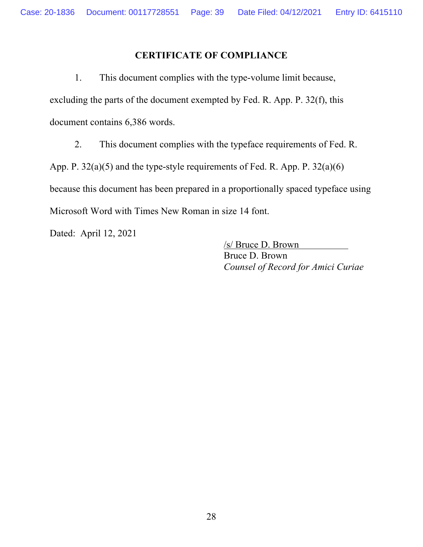### **CERTIFICATE OF COMPLIANCE**

1. This document complies with the type-volume limit because, excluding the parts of the document exempted by Fed. R. App. P. 32(f), this document contains 6,386 words.

2. This document complies with the typeface requirements of Fed. R.

App. P. 32(a)(5) and the type-style requirements of Fed. R. App. P. 32(a)(6)

because this document has been prepared in a proportionally spaced typeface using Microsoft Word with Times New Roman in size 14 font.

Dated: April 12, 2021

/s/ Bruce D. Brown Bruce D. Brown *Counsel of Record for Amici Curiae*